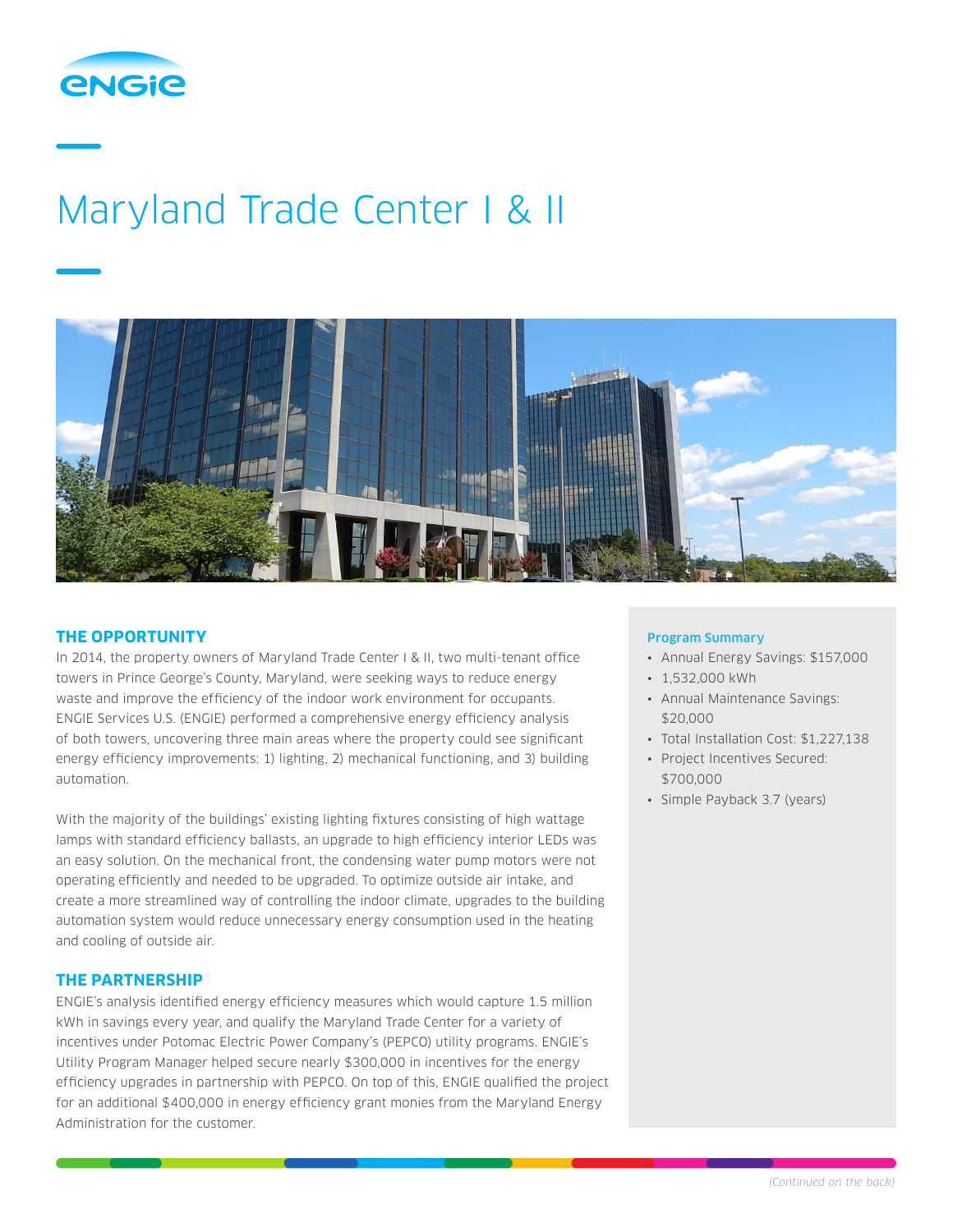

# Maryland Trade Center I & II



## **THE OPPORTUNITY**

In 2014, the property owners of Maryland Trade Center I & II, two multi-tenant office towers in Prince George's County, Maryland, were seeking ways to reduce energy waste and improve the efficiency of the indoor work environment for occupants. ENGIE Services U.S. (ENGIE) performed a comprehensive energy efficiency analysis of both towers, uncovering three main areas where the property could see significant energy efficiency improvements: 1) lighting, 2) mechanical functioning, and 3) building automation.

With the majority of the buildings' existing lighting fixtures consisting of high wattage lamps with standard efficiency ballasts, an upgrade to high efficiency interior LEDs was an easy solution. On the mechanical front, the condensing water pump motors were not operating efficiently and needed to be upgraded. To optimize outside air intake, and create a more streamlined way of controlling the indoor climate, upgrades to the building automation system would reduce unnecessary energy consumption used in the heating and cooling of outside air.

## **THE PARTNERSHIP**

ENGIE's analysis identified energy efficiency measures which would capture 1.5 million kWh in savings every year, and qualify the Maryland Trade Center for a variety of incentives under Potomac Electric Power Company's (PEPCO) utility programs. ENGIE's Utility Program Manager helped secure nearly \$300,000 in incentives for the energy efficiency upgrades in partnership with PEPCO. On top of this, ENGIE qualified the project for an additional \$400,000 in energy efficiency grant monies from the Maryland Energy Administration for the customer.

### Program Summary

- Annual Energy Savings: \$157,000
- 1,532,000 kWh
- Annual Maintenance Savings: \$20,000
- Total Installation Cost: \$1,227,138
- Project Incentives Secured: \$700,000
- Simple Payback 3.7 (years)